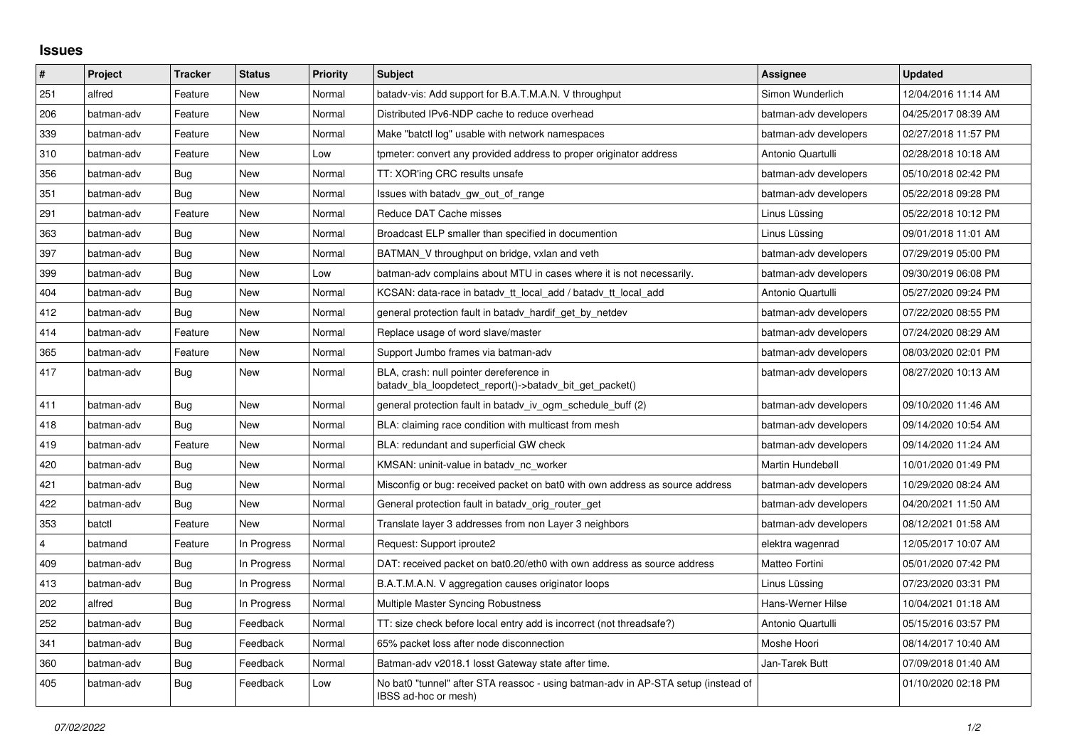## **Issues**

| $\vert$ # | Project    | <b>Tracker</b> | <b>Status</b> | <b>Priority</b> | <b>Subject</b>                                                                                            | <b>Assignee</b>       | <b>Updated</b>      |
|-----------|------------|----------------|---------------|-----------------|-----------------------------------------------------------------------------------------------------------|-----------------------|---------------------|
| 251       | alfred     | Feature        | New           | Normal          | batady-vis: Add support for B.A.T.M.A.N. V throughput                                                     | Simon Wunderlich      | 12/04/2016 11:14 AM |
| 206       | batman-adv | Feature        | <b>New</b>    | Normal          | Distributed IPv6-NDP cache to reduce overhead                                                             | batman-adv developers | 04/25/2017 08:39 AM |
| 339       | batman-adv | Feature        | New           | Normal          | Make "batctl log" usable with network namespaces                                                          | batman-adv developers | 02/27/2018 11:57 PM |
| 310       | batman-adv | Feature        | <b>New</b>    | Low             | tpmeter: convert any provided address to proper originator address                                        | Antonio Quartulli     | 02/28/2018 10:18 AM |
| 356       | batman-adv | Bug            | New           | Normal          | TT: XOR'ing CRC results unsafe                                                                            | batman-adv developers | 05/10/2018 02:42 PM |
| 351       | batman-adv | <b>Bug</b>     | New           | Normal          | Issues with batady_gw_out_of_range                                                                        | batman-adv developers | 05/22/2018 09:28 PM |
| 291       | batman-adv | Feature        | New           | Normal          | Reduce DAT Cache misses                                                                                   | Linus Lüssing         | 05/22/2018 10:12 PM |
| 363       | batman-adv | Bug            | New           | Normal          | Broadcast ELP smaller than specified in documention                                                       | Linus Lüssing         | 09/01/2018 11:01 AM |
| 397       | batman-adv | Bug            | New           | Normal          | BATMAN V throughput on bridge, vxlan and veth                                                             | batman-adv developers | 07/29/2019 05:00 PM |
| 399       | batman-adv | Bug            | New           | Low             | batman-adv complains about MTU in cases where it is not necessarily.                                      | batman-adv developers | 09/30/2019 06:08 PM |
| 404       | batman-adv | Bug            | <b>New</b>    | Normal          | KCSAN: data-race in batady tt local add / batady tt local add                                             | Antonio Quartulli     | 05/27/2020 09:24 PM |
| 412       | batman-adv | Bug            | New           | Normal          | general protection fault in batady_hardif_get_by_netdev                                                   | batman-adv developers | 07/22/2020 08:55 PM |
| 414       | batman-adv | Feature        | New           | Normal          | Replace usage of word slave/master                                                                        | batman-adv developers | 07/24/2020 08:29 AM |
| 365       | batman-adv | Feature        | New           | Normal          | Support Jumbo frames via batman-adv                                                                       | batman-adv developers | 08/03/2020 02:01 PM |
| 417       | batman-adv | Bug            | New           | Normal          | BLA, crash: null pointer dereference in<br>batady bla loopdetect report()->batady bit get packet()        | batman-adv developers | 08/27/2020 10:13 AM |
| 411       | batman-adv | Bug            | New           | Normal          | general protection fault in batady iv ogm schedule buff (2)                                               | batman-adv developers | 09/10/2020 11:46 AM |
| 418       | batman-adv | Bug            | New           | Normal          | BLA: claiming race condition with multicast from mesh                                                     | batman-adv developers | 09/14/2020 10:54 AM |
| 419       | batman-adv | Feature        | New           | Normal          | BLA: redundant and superficial GW check                                                                   | batman-adv developers | 09/14/2020 11:24 AM |
| 420       | batman-adv | Bug            | New           | Normal          | KMSAN: uninit-value in batady_nc_worker                                                                   | Martin Hundebøll      | 10/01/2020 01:49 PM |
| 421       | batman-adv | <b>Bug</b>     | New           | Normal          | Misconfig or bug: received packet on bat0 with own address as source address                              | batman-adv developers | 10/29/2020 08:24 AM |
| 422       | batman-adv | Bug            | New           | Normal          | General protection fault in batady orig router get                                                        | batman-adv developers | 04/20/2021 11:50 AM |
| 353       | batctl     | Feature        | <b>New</b>    | Normal          | Translate layer 3 addresses from non Layer 3 neighbors                                                    | batman-adv developers | 08/12/2021 01:58 AM |
| 4         | batmand    | Feature        | In Progress   | Normal          | Request: Support iproute2                                                                                 | elektra wagenrad      | 12/05/2017 10:07 AM |
| 409       | batman-adv | Bug            | In Progress   | Normal          | DAT: received packet on bat0.20/eth0 with own address as source address                                   | Matteo Fortini        | 05/01/2020 07:42 PM |
| 413       | batman-adv | Bug            | In Progress   | Normal          | B.A.T.M.A.N. V aggregation causes originator loops                                                        | Linus Lüssing         | 07/23/2020 03:31 PM |
| 202       | alfred     | Bug            | In Progress   | Normal          | Multiple Master Syncing Robustness                                                                        | Hans-Werner Hilse     | 10/04/2021 01:18 AM |
| 252       | batman-adv | <b>Bug</b>     | Feedback      | Normal          | TT: size check before local entry add is incorrect (not threadsafe?)                                      | Antonio Quartulli     | 05/15/2016 03:57 PM |
| 341       | batman-adv | Bug            | Feedback      | Normal          | 65% packet loss after node disconnection                                                                  | Moshe Hoori           | 08/14/2017 10:40 AM |
| 360       | batman-adv | Bug            | Feedback      | Normal          | Batman-adv v2018.1 losst Gateway state after time.                                                        | Jan-Tarek Butt        | 07/09/2018 01:40 AM |
| 405       | batman-adv | Bug            | Feedback      | Low             | No bat0 "tunnel" after STA reassoc - using batman-adv in AP-STA setup (instead of<br>IBSS ad-hoc or mesh) |                       | 01/10/2020 02:18 PM |